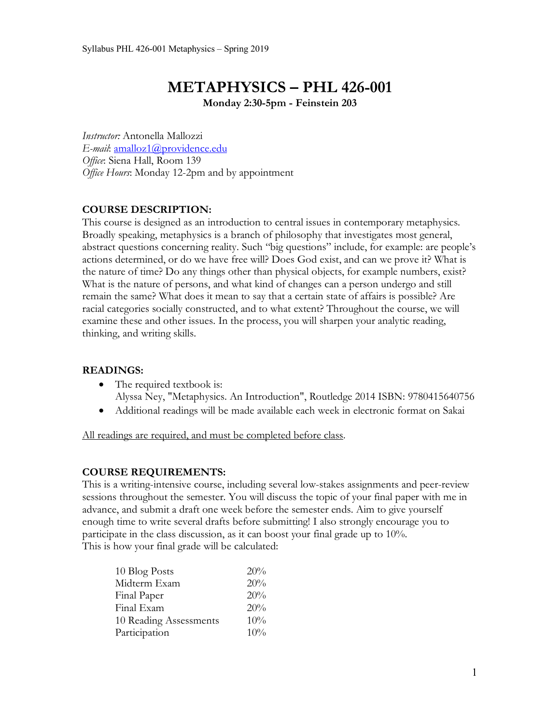# **METAPHYSICS – PHL 426-001**

**Monday 2:30-5pm - Feinstein 203**

*Instructor:* Antonella Mallozzi *E-mail*: amalloz1@providence.edu *Office*: Siena Hall, Room 139 *Office Hours*: Monday 12-2pm and by appointment

# **COURSE DESCRIPTION:**

This course is designed as an introduction to central issues in contemporary metaphysics. Broadly speaking, metaphysics is a branch of philosophy that investigates most general, abstract questions concerning reality. Such "big questions" include, for example: are people's actions determined, or do we have free will? Does God exist, and can we prove it? What is the nature of time? Do any things other than physical objects, for example numbers, exist? What is the nature of persons, and what kind of changes can a person undergo and still remain the same? What does it mean to say that a certain state of affairs is possible? Are racial categories socially constructed, and to what extent? Throughout the course, we will examine these and other issues. In the process, you will sharpen your analytic reading, thinking, and writing skills.

## **READINGS:**

- The required textbook is: Alyssa Ney, "Metaphysics. An Introduction", Routledge 2014 ISBN: 9780415640756
- Additional readings will be made available each week in electronic format on Sakai

All readings are required, and must be completed before class.

## **COURSE REQUIREMENTS:**

This is a writing-intensive course, including several low-stakes assignments and peer-review sessions throughout the semester. You will discuss the topic of your final paper with me in advance, and submit a draft one week before the semester ends. Aim to give yourself enough time to write several drafts before submitting! I also strongly encourage you to participate in the class discussion, as it can boost your final grade up to 10%. This is how your final grade will be calculated:

| 10 Blog Posts<br>20%          |  |
|-------------------------------|--|
| Midterm Exam<br>20%           |  |
| 20%<br>Final Paper            |  |
| 20%<br>Final Exam             |  |
| 10%<br>10 Reading Assessments |  |
| Participation<br>10%          |  |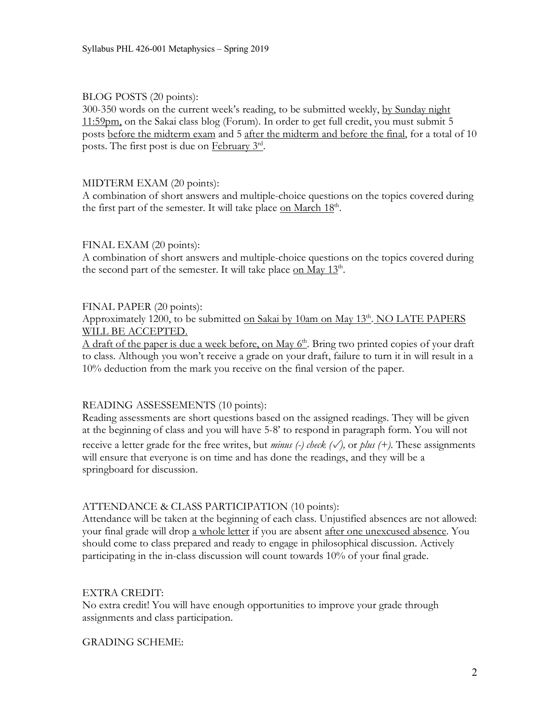## BLOG POSTS (20 points):

300-350 words on the current week's reading, to be submitted weekly, by Sunday night 11:59pm, on the Sakai class blog (Forum). In order to get full credit, you must submit 5 posts before the midterm exam and 5 after the midterm and before the final, for a total of 10 posts. The first post is due on February 3rd.

## MIDTERM EXAM (20 points):

A combination of short answers and multiple-choice questions on the topics covered during the first part of the semester. It will take place on March 18<sup>th</sup>.

#### FINAL EXAM (20 points):

A combination of short answers and multiple-choice questions on the topics covered during the second part of the semester. It will take place on May  $13<sup>th</sup>$ .

## FINAL PAPER (20 points):

Approximately 1200, to be submitted on Sakai by 10am on May  $13<sup>th</sup>$ . NO LATE PAPERS WILL BE ACCEPTED.

A draft of the paper is due a week before, on May  $6<sup>th</sup>$ . Bring two printed copies of your draft to class. Although you won't receive a grade on your draft, failure to turn it in will result in a 10% deduction from the mark you receive on the final version of the paper.

## READING ASSESSEMENTS (10 points):

Reading assessments are short questions based on the assigned readings. They will be given at the beginning of class and you will have 5-8' to respond in paragraph form. You will not receive a letter grade for the free writes, but *minus (-)* check  $(\sqrt{})$ , or *plus* (+). These assignments will ensure that everyone is on time and has done the readings, and they will be a springboard for discussion.

## ATTENDANCE & CLASS PARTICIPATION (10 points):

Attendance will be taken at the beginning of each class. Unjustified absences are not allowed: your final grade will drop a whole letter if you are absent after one unexcused absence. You should come to class prepared and ready to engage in philosophical discussion. Actively participating in the in-class discussion will count towards 10% of your final grade.

#### EXTRA CREDIT:

No extra credit! You will have enough opportunities to improve your grade through assignments and class participation.

#### GRADING SCHEME: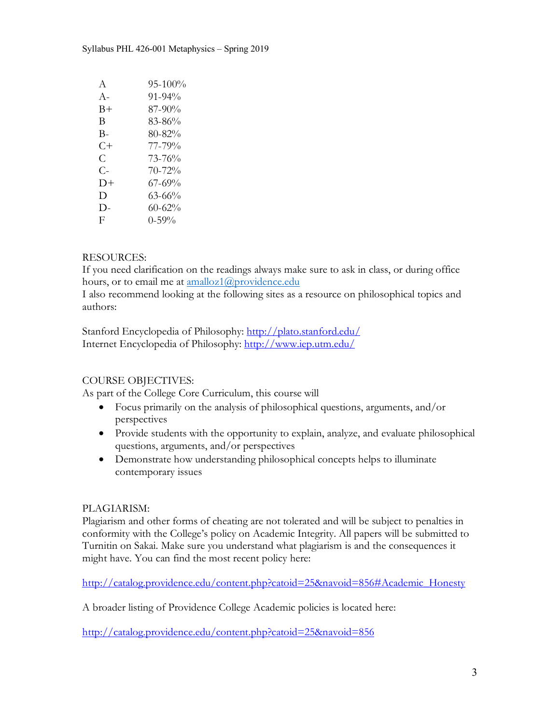| A     | 95-100%     |
|-------|-------------|
| $A -$ | $91 - 94\%$ |
| B+    | 87-90%      |
| B     | 83-86%      |
| В-    | 80-82%      |
| C+    | 77-79%      |
| C     | 73-76%      |
| $C-$  | $70 - 72%$  |
| D+    | 67-69%      |
| D     | 63-66%      |
| D-    | 60-62%      |
| F     | $0 - 59\%$  |
|       |             |

# RESOURCES:

If you need clarification on the readings always make sure to ask in class, or during office hours, or to email me at amalloz1@providence.edu

I also recommend looking at the following sites as a resource on philosophical topics and authors:

Stanford Encyclopedia of Philosophy: http://plato.stanford.edu/ Internet Encyclopedia of Philosophy: http://www.iep.utm.edu/

## COURSE OBJECTIVES:

As part of the College Core Curriculum, this course will

- Focus primarily on the analysis of philosophical questions, arguments, and/or perspectives
- Provide students with the opportunity to explain, analyze, and evaluate philosophical questions, arguments, and/or perspectives
- Demonstrate how understanding philosophical concepts helps to illuminate contemporary issues

## PLAGIARISM:

Plagiarism and other forms of cheating are not tolerated and will be subject to penalties in conformity with the College's policy on Academic Integrity. All papers will be submitted to Turnitin on Sakai. Make sure you understand what plagiarism is and the consequences it might have. You can find the most recent policy here:

http://catalog.providence.edu/content.php?catoid=25&navoid=856#Academic\_Honesty

A broader listing of Providence College Academic policies is located here:

http://catalog.providence.edu/content.php?catoid=25&navoid=856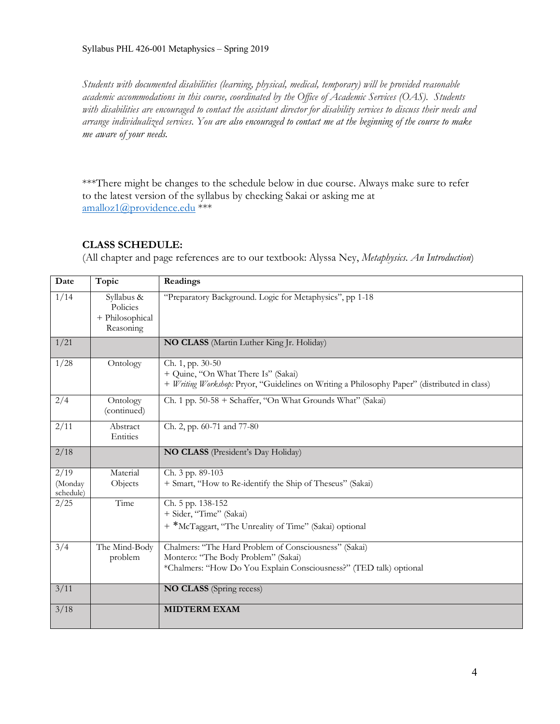*Students with documented disabilities (learning, physical, medical, temporary) will be provided reasonable academic accommodations in this course, coordinated by the Office of Academic Services (OAS). Students with disabilities are encouraged to contact the assistant director for disability services to discuss their needs and arrange individualized services. You are also encouraged to contact me at the beginning of the course to make me aware of your needs.*

\*\*\*There might be changes to the schedule below in due course. Always make sure to refer to the latest version of the syllabus by checking Sakai or asking me at amalloz1@providence.edu \*\*\*

# **CLASS SCHEDULE:**

(All chapter and page references are to our textbook: Alyssa Ney, *Metaphysics. An Introduction*)

| Date                                  | Topic                                                  | Readings                                                                                                                                                           |
|---------------------------------------|--------------------------------------------------------|--------------------------------------------------------------------------------------------------------------------------------------------------------------------|
| 1/14                                  | Syllabus &<br>Policies<br>+ Philosophical<br>Reasoning | "Preparatory Background. Logic for Metaphysics", pp 1-18                                                                                                           |
| 1/21                                  |                                                        | NO CLASS (Martin Luther King Jr. Holiday)                                                                                                                          |
| 1/28                                  | Ontology                                               | Ch. 1, pp. 30-50<br>+ Quine, "On What There Is" (Sakai)<br>+ Writing Workshop: Pryor, "Guidelines on Writing a Philosophy Paper" (distributed in class)            |
| 2/4                                   | Ontology<br>(continued)                                | Ch. 1 pp. 50-58 + Schaffer, "On What Grounds What" (Sakai)                                                                                                         |
| 2/11                                  | Abstract<br>Entities                                   | Ch. 2, pp. 60-71 and 77-80                                                                                                                                         |
| 2/18                                  |                                                        | NO CLASS (President's Day Holiday)                                                                                                                                 |
| $\sqrt{2/19}$<br>(Monday<br>schedule) | Material<br>Objects                                    | Ch. 3 pp. 89-103<br>+ Smart, "How to Re-identify the Ship of Theseus" (Sakai)                                                                                      |
| 2/25                                  | Time                                                   | Ch. 5 pp. 138-152<br>+ Sider, "Time" (Sakai)<br>+ *McTaggart, "The Unreality of Time" (Sakai) optional                                                             |
| 3/4                                   | The Mind-Body<br>problem                               | Chalmers: "The Hard Problem of Consciousness" (Sakai)<br>Montero: "The Body Problem" (Sakai)<br>*Chalmers: "How Do You Explain Consciousness?" (TED talk) optional |
| 3/11                                  |                                                        | <b>NO CLASS</b> (Spring recess)                                                                                                                                    |
| 3/18                                  |                                                        | <b>MIDTERM EXAM</b>                                                                                                                                                |